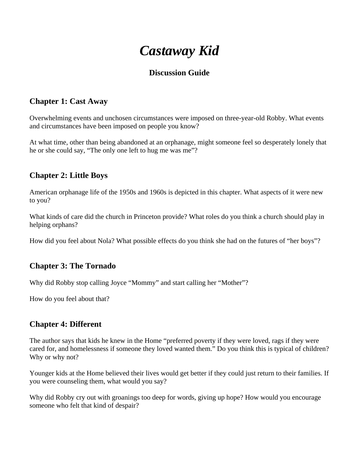# *Castaway Kid*

# **Discussion Guide**

# **Chapter 1: Cast Away**

Overwhelming events and unchosen circumstances were imposed on three-year-old Robby. What events and circumstances have been imposed on people you know?

At what time, other than being abandoned at an orphanage, might someone feel so desperately lonely that he or she could say, "The only one left to hug me was me"?

# **Chapter 2: Little Boys**

American orphanage life of the 1950s and 1960s is depicted in this chapter. What aspects of it were new to you?

What kinds of care did the church in Princeton provide? What roles do you think a church should play in helping orphans?

How did you feel about Nola? What possible effects do you think she had on the futures of "her boys"?

# **Chapter 3: The Tornado**

Why did Robby stop calling Joyce "Mommy" and start calling her "Mother"?

How do you feel about that?

# **Chapter 4: Different**

The author says that kids he knew in the Home "preferred poverty if they were loved, rags if they were cared for, and homelessness if someone they loved wanted them." Do you think this is typical of children? Why or why not?

Younger kids at the Home believed their lives would get better if they could just return to their families. If you were counseling them, what would you say?

Why did Robby cry out with groanings too deep for words, giving up hope? How would you encourage someone who felt that kind of despair?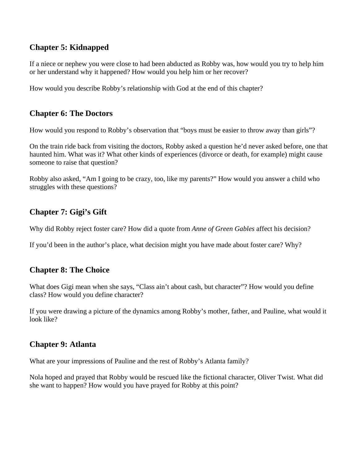# **Chapter 5: Kidnapped**

If a niece or nephew you were close to had been abducted as Robby was, how would you try to help him or her understand why it happened? How would you help him or her recover?

How would you describe Robby's relationship with God at the end of this chapter?

# **Chapter 6: The Doctors**

How would you respond to Robby's observation that "boys must be easier to throw away than girls"?

On the train ride back from visiting the doctors, Robby asked a question he'd never asked before, one that haunted him. What was it? What other kinds of experiences (divorce or death, for example) might cause someone to raise that question?

Robby also asked, "Am I going to be crazy, too, like my parents?" How would you answer a child who struggles with these questions?

# **Chapter 7: Gigi's Gift**

Why did Robby reject foster care? How did a quote from *Anne of Green Gables* affect his decision?

If you'd been in the author's place, what decision might you have made about foster care? Why?

# **Chapter 8: The Choice**

What does Gigi mean when she says, "Class ain't about cash, but character"? How would you define class? How would you define character?

If you were drawing a picture of the dynamics among Robby's mother, father, and Pauline, what would it look like?

# **Chapter 9: Atlanta**

What are your impressions of Pauline and the rest of Robby's Atlanta family?

Nola hoped and prayed that Robby would be rescued like the fictional character, Oliver Twist. What did she want to happen? How would you have prayed for Robby at this point?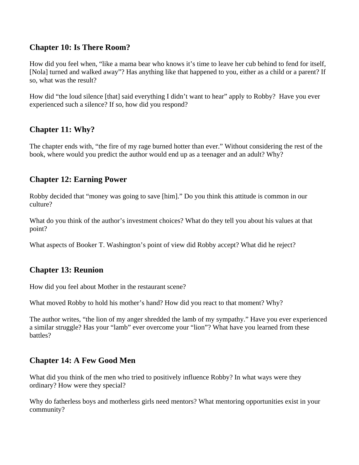# **Chapter 10: Is There Room?**

How did you feel when, "like a mama bear who knows it's time to leave her cub behind to fend for itself, [Nola] turned and walked away"? Has anything like that happened to you, either as a child or a parent? If so, what was the result?

How did "the loud silence [that] said everything I didn't want to hear" apply to Robby? Have you ever experienced such a silence? If so, how did you respond?

## **Chapter 11: Why?**

The chapter ends with, "the fire of my rage burned hotter than ever." Without considering the rest of the book, where would you predict the author would end up as a teenager and an adult? Why?

## **Chapter 12: Earning Power**

Robby decided that "money was going to save [him]." Do you think this attitude is common in our culture?

What do you think of the author's investment choices? What do they tell you about his values at that point?

What aspects of Booker T. Washington's point of view did Robby accept? What did he reject?

#### **Chapter 13: Reunion**

How did you feel about Mother in the restaurant scene?

What moved Robby to hold his mother's hand? How did you react to that moment? Why?

The author writes, "the lion of my anger shredded the lamb of my sympathy." Have you ever experienced a similar struggle? Has your "lamb" ever overcome your "lion"? What have you learned from these battles?

#### **Chapter 14: A Few Good Men**

What did you think of the men who tried to positively influence Robby? In what ways were they ordinary? How were they special?

Why do fatherless boys and motherless girls need mentors? What mentoring opportunities exist in your community?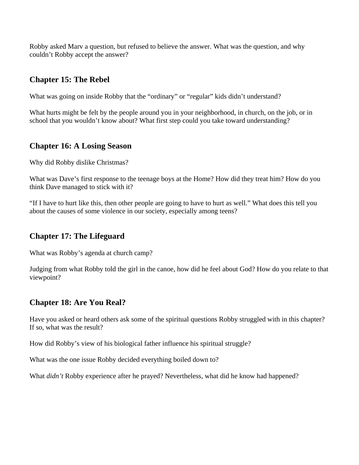Robby asked Marv a question, but refused to believe the answer. What was the question, and why couldn't Robby accept the answer?

# **Chapter 15: The Rebel**

What was going on inside Robby that the "ordinary" or "regular" kids didn't understand?

What hurts might be felt by the people around you in your neighborhood, in church, on the job, or in school that you wouldn't know about? What first step could you take toward understanding?

# **Chapter 16: A Losing Season**

Why did Robby dislike Christmas?

What was Dave's first response to the teenage boys at the Home? How did they treat him? How do you think Dave managed to stick with it?

"If I have to hurt like this, then other people are going to have to hurt as well." What does this tell you about the causes of some violence in our society, especially among teens?

# **Chapter 17: The Lifeguard**

What was Robby's agenda at church camp?

Judging from what Robby told the girl in the canoe, how did he feel about God? How do you relate to that viewpoint?

# **Chapter 18: Are You Real?**

Have you asked or heard others ask some of the spiritual questions Robby struggled with in this chapter? If so, what was the result?

How did Robby's view of his biological father influence his spiritual struggle?

What was the one issue Robby decided everything boiled down to?

What *didn't* Robby experience after he prayed? Nevertheless, what did he know had happened?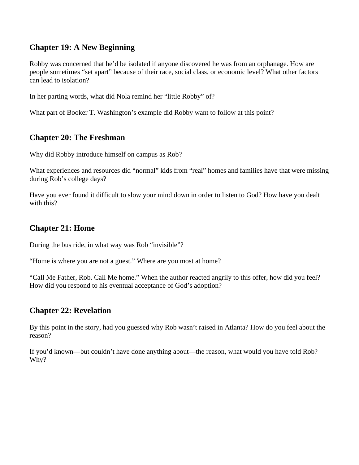# **Chapter 19: A New Beginning**

Robby was concerned that he'd be isolated if anyone discovered he was from an orphanage. How are people sometimes "set apart" because of their race, social class, or economic level? What other factors can lead to isolation?

In her parting words, what did Nola remind her "little Robby" of?

What part of Booker T. Washington's example did Robby want to follow at this point?

## **Chapter 20: The Freshman**

Why did Robby introduce himself on campus as Rob?

What experiences and resources did "normal" kids from "real" homes and families have that were missing during Rob's college days?

Have you ever found it difficult to slow your mind down in order to listen to God? How have you dealt with this?

## **Chapter 21: Home**

During the bus ride, in what way was Rob "invisible"?

"Home is where you are not a guest." Where are you most at home?

"Call Me Father, Rob. Call Me home." When the author reacted angrily to this offer, how did you feel? How did you respond to his eventual acceptance of God's adoption?

# **Chapter 22: Revelation**

By this point in the story, had you guessed why Rob wasn't raised in Atlanta? How do you feel about the reason?

If you'd known—but couldn't have done anything about—the reason, what would you have told Rob? Why?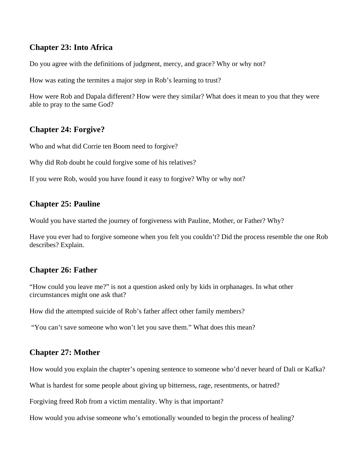## **Chapter 23: Into Africa**

Do you agree with the definitions of judgment, mercy, and grace? Why or why not?

How was eating the termites a major step in Rob's learning to trust?

How were Rob and Dapala different? How were they similar? What does it mean to you that they were able to pray to the same God?

# **Chapter 24: Forgive?**

Who and what did Corrie ten Boom need to forgive?

Why did Rob doubt he could forgive some of his relatives?

If you were Rob, would you have found it easy to forgive? Why or why not?

## **Chapter 25: Pauline**

Would you have started the journey of forgiveness with Pauline, Mother, or Father? Why?

Have you ever had to forgive someone when you felt you couldn't? Did the process resemble the one Rob describes? Explain.

#### **Chapter 26: Father**

"How could you leave me?" is not a question asked only by kids in orphanages. In what other circumstances might one ask that?

How did the attempted suicide of Rob's father affect other family members?

"You can't save someone who won't let you save them." What does this mean?

# **Chapter 27: Mother**

How would you explain the chapter's opening sentence to someone who'd never heard of Dali or Kafka?

What is hardest for some people about giving up bitterness, rage, resentments, or hatred?

Forgiving freed Rob from a victim mentality. Why is that important?

How would you advise someone who's emotionally wounded to begin the process of healing?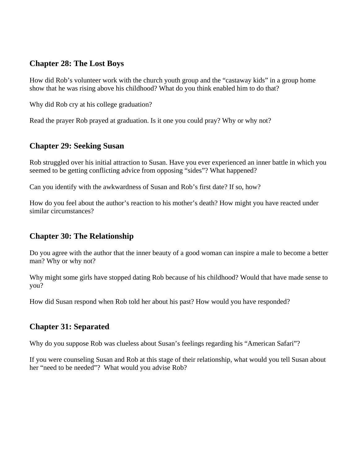## **Chapter 28: The Lost Boys**

How did Rob's volunteer work with the church youth group and the "castaway kids" in a group home show that he was rising above his childhood? What do you think enabled him to do that?

Why did Rob cry at his college graduation?

Read the prayer Rob prayed at graduation. Is it one you could pray? Why or why not?

# **Chapter 29: Seeking Susan**

Rob struggled over his initial attraction to Susan. Have you ever experienced an inner battle in which you seemed to be getting conflicting advice from opposing "sides"? What happened?

Can you identify with the awkwardness of Susan and Rob's first date? If so, how?

How do you feel about the author's reaction to his mother's death? How might you have reacted under similar circumstances?

# **Chapter 30: The Relationship**

Do you agree with the author that the inner beauty of a good woman can inspire a male to become a better man? Why or why not?

Why might some girls have stopped dating Rob because of his childhood? Would that have made sense to you?

How did Susan respond when Rob told her about his past? How would you have responded?

# **Chapter 31: Separated**

Why do you suppose Rob was clueless about Susan's feelings regarding his "American Safari"?

If you were counseling Susan and Rob at this stage of their relationship, what would you tell Susan about her "need to be needed"? What would you advise Rob?